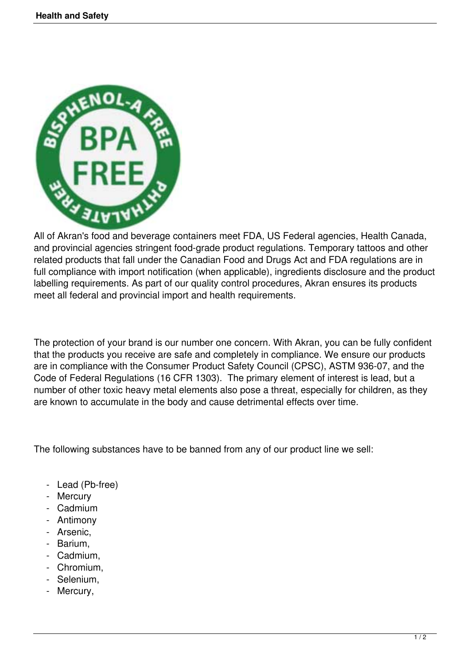

All of Akran's food and beverage containers meet FDA, US Federal agencies, Health Canada, and provincial agencies stringent food-grade product regulations. Temporary tattoos and other related products that fall under the Canadian Food and Drugs Act and FDA regulations are in full compliance with import notification (when applicable), ingredients disclosure and the product labelling requirements. As part of our quality control procedures, Akran ensures its products meet all federal and provincial import and health requirements.

The protection of your brand is our number one concern. With Akran, you can be fully confident that the products you receive are safe and completely in compliance. We ensure our products are in compliance with the Consumer Product Safety Council (CPSC), ASTM 936-07, and the Code of Federal Regulations (16 CFR 1303). The primary element of interest is lead, but a number of other toxic heavy metal elements also pose a threat, especially for children, as they are known to accumulate in the body and cause detrimental effects over time.

The following substances have to be banned from any of our product line we sell:

- Lead (Pb-free)
- Mercury
- Cadmium
- Antimony
- Arsenic,
- Barium,
- Cadmium,
- Chromium,
- Selenium,
- Mercury,